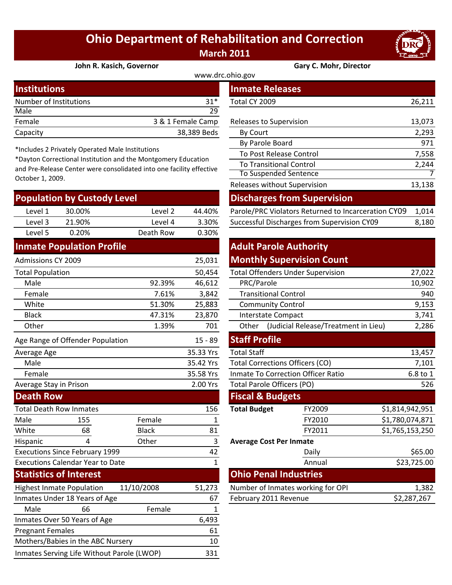## **Ohio Department of Rehabilitation and Correction March 2011**



**John R. Kasich, Governor Gary C. Mohr, Director**

| www.drc.ohio.gov       |                   |                         |        |  |  |
|------------------------|-------------------|-------------------------|--------|--|--|
| <b>Institutions</b>    |                   | <b>Inmate Releases</b>  |        |  |  |
| Number of Institutions | $31*$             | Total CY 2009           | 26,211 |  |  |
| Male                   | 29                |                         |        |  |  |
| Female                 | 3 & 1 Female Camp | Releases to Supervision | 13,073 |  |  |
| Capacity               | 38,389 Beds       | By Court                | 2,293  |  |  |
|                        |                   |                         |        |  |  |

\*Includes 2 Privately Operated Male Institutions

\*Dayton Correctional Institution and the Montgomery Education and Pre‐Release Center were consolidated into one facility effective October 1, 2009.

| <b>Population by Custody Level</b>    |                                            |              | <b>Discharges from Supervision</b> |                                           |                                                     |                 |             |
|---------------------------------------|--------------------------------------------|--------------|------------------------------------|-------------------------------------------|-----------------------------------------------------|-----------------|-------------|
| Level 1                               | 30.00%                                     | Level 2      | 44.40%                             |                                           | Parole/PRC Violators Returned to Incarceration CY09 |                 | 1,014       |
| Level 3                               | 21.90%                                     | Level 4      | 3.30%                              |                                           | Successful Discharges from Supervision CY09         |                 | 8,180       |
| Level 5                               | 0.20%                                      | Death Row    | 0.30%                              |                                           |                                                     |                 |             |
|                                       | <b>Inmate Population Profile</b>           |              |                                    | <b>Adult Parole Authority</b>             |                                                     |                 |             |
| <b>Admissions CY 2009</b>             |                                            |              | 25,031                             |                                           | <b>Monthly Supervision Count</b>                    |                 |             |
| <b>Total Population</b>               |                                            |              | 50,454                             | <b>Total Offenders Under Supervision</b>  |                                                     |                 | 27,022      |
| Male                                  |                                            | 92.39%       | 46,612                             | PRC/Parole                                |                                                     |                 | 10,902      |
| Female                                |                                            | 7.61%        | 3,842                              | <b>Transitional Control</b>               |                                                     |                 | 940         |
| White                                 |                                            | 51.30%       | 25,883                             | <b>Community Control</b>                  |                                                     |                 | 9,153       |
| <b>Black</b>                          |                                            | 47.31%       | 23,870                             | Interstate Compact                        |                                                     |                 | 3,741       |
| Other                                 |                                            | 1.39%        | 701                                |                                           | Other (Judicial Release/Treatment in Lieu)          |                 | 2,286       |
|                                       | Age Range of Offender Population           |              | $15 - 89$                          | <b>Staff Profile</b>                      |                                                     |                 |             |
| Average Age                           |                                            |              | 35.33 Yrs                          | <b>Total Staff</b>                        |                                                     |                 | 13,457      |
| Male                                  |                                            |              | 35.42 Yrs                          | <b>Total Corrections Officers (CO)</b>    |                                                     |                 | 7,101       |
| Female                                |                                            |              | 35.58 Yrs                          | <b>Inmate To Correction Officer Ratio</b> |                                                     |                 | 6.8 to 1    |
| Average Stay in Prison                |                                            |              | 2.00 Yrs                           | Total Parole Officers (PO)                |                                                     |                 | 526         |
| <b>Death Row</b>                      |                                            |              |                                    | <b>Fiscal &amp; Budgets</b>               |                                                     |                 |             |
|                                       | <b>Total Death Row Inmates</b>             |              | 156                                | <b>Total Budget</b>                       | FY2009                                              | \$1,814,942,951 |             |
| Male                                  | 155                                        | Female       | 1                                  |                                           | FY2010                                              | \$1,780,074,871 |             |
| White                                 | 68                                         | <b>Black</b> | 81                                 |                                           | FY2011                                              | \$1,765,153,250 |             |
| Hispanic                              | 4                                          | Other        | 3                                  | <b>Average Cost Per Inmate</b>            |                                                     |                 |             |
| <b>Executions Since February 1999</b> |                                            | 42           |                                    | Daily                                     |                                                     | \$65.00         |             |
|                                       | <b>Executions Calendar Year to Date</b>    |              | $\mathbf{1}$                       |                                           | Annual                                              |                 | \$23,725.00 |
|                                       | <b>Statistics of Interest</b>              |              |                                    | <b>Ohio Penal Industries</b>              |                                                     |                 |             |
|                                       | <b>Highest Inmate Population</b>           | 11/10/2008   | 51,273                             |                                           | Number of Inmates working for OPI                   |                 | 1,382       |
|                                       | Inmates Under 18 Years of Age              |              | 67                                 | February 2011 Revenue                     |                                                     |                 | \$2,287,267 |
| Male                                  | 66                                         | Female       | 1                                  |                                           |                                                     |                 |             |
|                                       | Inmates Over 50 Years of Age               |              | 6,493                              |                                           |                                                     |                 |             |
| <b>Pregnant Females</b>               |                                            |              | 61                                 |                                           |                                                     |                 |             |
|                                       | Mothers/Babies in the ABC Nursery          |              | 10                                 |                                           |                                                     |                 |             |
|                                       | Inmates Serving Life Without Parole (LWOP) |              | 331                                |                                           |                                                     |                 |             |

| stitutions                                                                                                                                                                                       |                      |                   |             | Inmate Releases                                     |        |  |
|--------------------------------------------------------------------------------------------------------------------------------------------------------------------------------------------------|----------------------|-------------------|-------------|-----------------------------------------------------|--------|--|
|                                                                                                                                                                                                  | mber of Institutions |                   | $31*$       | Total CY 2009                                       | 26,211 |  |
| le                                                                                                                                                                                               |                      |                   | 29          |                                                     |        |  |
| nale                                                                                                                                                                                             |                      | 3 & 1 Female Camp |             | Releases to Supervision                             | 13,073 |  |
| acity                                                                                                                                                                                            |                      |                   | 38,389 Beds | By Court                                            | 2,293  |  |
|                                                                                                                                                                                                  |                      |                   |             | By Parole Board                                     | 971    |  |
| cludes 2 Privately Operated Male Institutions<br>yton Correctional Institution and the Montgomery Education<br>Pre-Release Center were consolidated into one facility effective<br>ober 1, 2009. |                      |                   |             | To Post Release Control                             | 7,558  |  |
|                                                                                                                                                                                                  |                      |                   |             | <b>To Transitional Control</b>                      | 2,244  |  |
|                                                                                                                                                                                                  |                      |                   |             | <b>To Suspended Sentence</b>                        |        |  |
|                                                                                                                                                                                                  |                      |                   |             | Releases without Supervision                        | 13,138 |  |
| pulation by Custody Level                                                                                                                                                                        |                      |                   |             | <b>Discharges from Supervision</b>                  |        |  |
| Level 1                                                                                                                                                                                          | 30.00%               | Level 2           | 44.40%      | Parole/PRC Violators Returned to Incarceration CY09 | 1,014  |  |
| Level 3                                                                                                                                                                                          | 21.90%               | Level 4           | 3.30%       | Successful Discharges from Supervision CY09         | 8,180  |  |

## **Adult Parole Authority**

| <b>Monthly Supervision Count</b> |  |  |  |  |
|----------------------------------|--|--|--|--|
|----------------------------------|--|--|--|--|

|        | 50,454 | <b>Total Offenders Under Supervision</b>      | 27,022 |
|--------|--------|-----------------------------------------------|--------|
| 92.39% | 46,612 | PRC/Parole                                    | 10,902 |
| 7.61%  | 3,842  | <b>Transitional Control</b>                   | 940    |
| 51.30% | 25,883 | <b>Community Control</b>                      | 9,153  |
| 47.31% | 23,870 | Interstate Compact                            | 3,741  |
| 1.39%  | 701    | (Judicial Release/Treatment in Lieu)<br>Other | 2,286  |
|        |        | ---<br>--                                     |        |

| $15 - 89$ | <b>Staff Profile</b>                      |             |                 |  |  |
|-----------|-------------------------------------------|-------------|-----------------|--|--|
| 35.33 Yrs | <b>Total Staff</b>                        | 13,457      |                 |  |  |
| 35.42 Yrs | <b>Total Corrections Officers (CO)</b>    |             | 7,101           |  |  |
| 35.58 Yrs | <b>Inmate To Correction Officer Ratio</b> |             | 6.8 to 1        |  |  |
| 2.00 Yrs  | <b>Total Parole Officers (PO)</b>         |             | 526             |  |  |
|           | <b>Fiscal &amp; Budgets</b>               |             |                 |  |  |
| 156       | <b>Total Budget</b>                       | FY2009      | \$1,814,942,951 |  |  |
| 1         |                                           | FY2010      | \$1,780,074,871 |  |  |
| 81        |                                           | FY2011      | \$1,765,153,250 |  |  |
| 3         | <b>Average Cost Per Inmate</b>            |             |                 |  |  |
| 42        |                                           | Daily       | \$65.00         |  |  |
| 1         |                                           | Annual      | \$23,725.00     |  |  |
|           | <b>Ohio Penal Industries</b>              |             |                 |  |  |
| 51,273    | Number of Inmates working for OPI         | 1,382       |                 |  |  |
| 67        | February 2011 Revenue                     | \$2,287,267 |                 |  |  |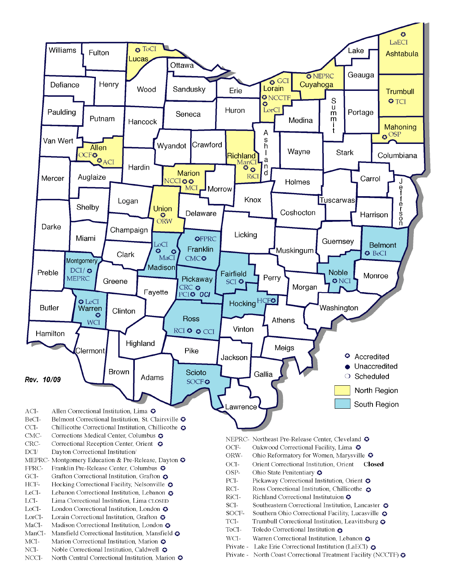